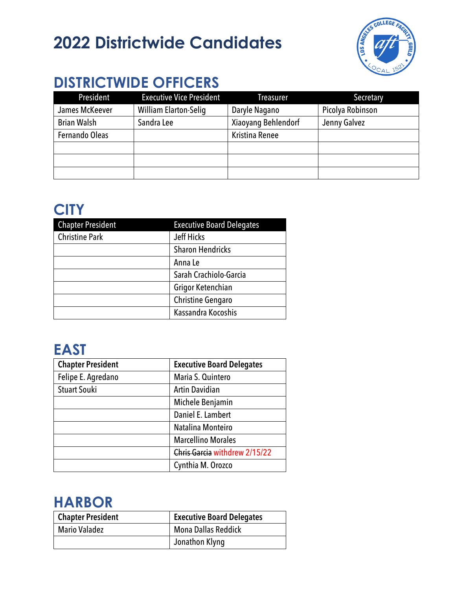# **2022 Districtwide Candidates**



# **DISTRICTWIDE OFFICERS**

| President          | <b>Executive Vice President</b> | <b>Treasurer</b>    | Secretary        |
|--------------------|---------------------------------|---------------------|------------------|
| James McKeever     | <b>William Elarton-Selig</b>    | Daryle Nagano       | Picolya Robinson |
| <b>Brian Walsh</b> | Sandra Lee                      | Xiaoyang Behlendorf | Jenny Galvez     |
| Fernando Oleas     |                                 | Kristina Renee      |                  |
|                    |                                 |                     |                  |
|                    |                                 |                     |                  |
|                    |                                 |                     |                  |

### **CITY**

| <b>Chapter President</b> | <b>Executive Board Delegates</b> |
|--------------------------|----------------------------------|
| <b>Christine Park</b>    | Jeff Hicks                       |
|                          | <b>Sharon Hendricks</b>          |
|                          | Anna Le                          |
|                          | Sarah Crachiolo-Garcia           |
|                          | Grigor Ketenchian                |
|                          | <b>Christine Gengaro</b>         |
|                          | Kassandra Kocoshis               |

# **EAST**

| <b>Chapter President</b> | <b>Executive Board Delegates</b> |
|--------------------------|----------------------------------|
| Felipe E. Agredano       | Maria S. Quintero                |
| <b>Stuart Souki</b>      | <b>Artin Davidian</b>            |
|                          | Michele Benjamin                 |
|                          | Daniel E. Lambert                |
|                          | Natalina Monteiro                |
|                          | <b>Marcellino Morales</b>        |
|                          | Chris Garcia withdrew 2/15/22    |
|                          | Cynthia M. Orozco                |

#### **HARBOR**

| <b>Chapter President</b> | <b>Executive Board Delegates</b> |
|--------------------------|----------------------------------|
| <b>Mario Valadez</b>     | <b>Mona Dallas Reddick</b>       |
|                          | Jonathon Klyng                   |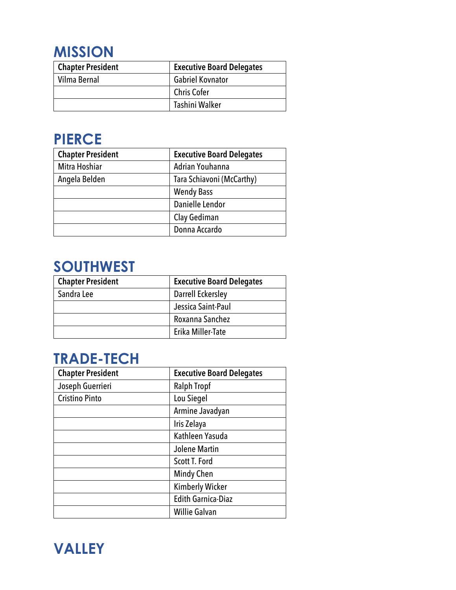### **MISSION**

| <b>Chapter President</b> | <b>Executive Board Delegates</b> |
|--------------------------|----------------------------------|
| Vilma Bernal             | <b>Gabriel Kovnator</b>          |
|                          | <b>Chris Cofer</b>               |
|                          | Tashini Walker                   |

# **PIERCE**

| <b>Chapter President</b> | <b>Executive Board Delegates</b> |
|--------------------------|----------------------------------|
| Mitra Hoshiar            | Adrian Youhanna                  |
| Angela Belden            | Tara Schiavoni (McCarthy)        |
|                          | <b>Wendy Bass</b>                |
|                          | Danielle Lendor                  |
|                          | Clay Gediman                     |
|                          | Donna Accardo                    |

### **SOUTHWEST**

| <b>Chapter President</b> | <b>Executive Board Delegates</b> |
|--------------------------|----------------------------------|
| Sandra Lee               | <b>Darrell Eckersley</b>         |
|                          | Jessica Saint-Paul               |
|                          | Roxanna Sanchez                  |
|                          | Erika Miller-Tate                |

### **TRADE-TECH**

| <b>Chapter President</b> | <b>Executive Board Delegates</b> |
|--------------------------|----------------------------------|
| Joseph Guerrieri         | <b>Ralph Tropf</b>               |
| <b>Cristino Pinto</b>    | Lou Siegel                       |
|                          | Armine Javadyan                  |
|                          | Iris Zelaya                      |
|                          | Kathleen Yasuda                  |
|                          | <b>Jolene Martin</b>             |
|                          | Scott T. Ford                    |
|                          | Mindy Chen                       |
|                          | <b>Kimberly Wicker</b>           |
|                          | <b>Edith Garnica-Diaz</b>        |
|                          | <b>Willie Galvan</b>             |